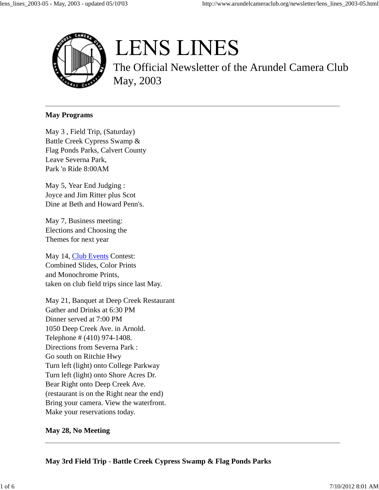

# **LENS LINES**

The Official Newsletter of the Arundel Camera Club May, 2003

#### **May Programs**

May 3 , Field Trip, (Saturday) Battle Creek Cypress Swamp & Flag Ponds Parks, Calvert County Leave Severna Park, Park 'n Ride 8:00AM

May 5, Year End Judging : Joyce and Jim Ritter plus Scot Dine at Beth and Howard Penn's.

May 7, Business meeting: Elections and Choosing the Themes for next year

May 14, Club Events Contest: Combined Slides, Color Prints and Monochrome Prints, taken on club field trips since last May.

May 21, Banquet at Deep Creek Restaurant Gather and Drinks at 6:30 PM Dinner served at 7:00 PM 1050 Deep Creek Ave. in Arnold. Telephone # (410) 974-1408. Directions from Severna Park : Go south on Ritchie Hwy Turn left (light) onto College Parkway Turn left (light) onto Shore Acres Dr. Bear Right onto Deep Creek Ave. (restaurant is on the Right near the end) Bring your camera. View the waterfront. Make your reservations today.

# **May 28, No Meeting**

**May 3rd Field Trip** - **Battle Creek Cypress Swamp & Flag Ponds Parks**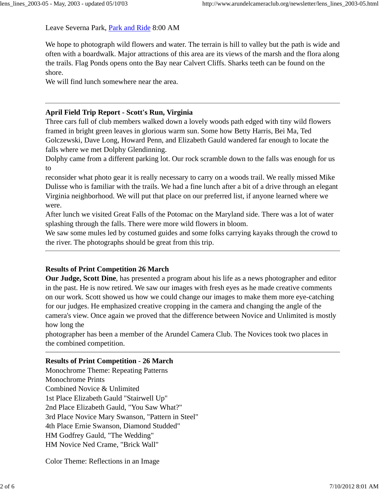Leave Severna Park, Park and Ride 8:00 AM

We hope to photograph wild flowers and water. The terrain is hill to valley but the path is wide and often with a boardwalk. Major attractions of this area are its views of the marsh and the flora along the trails. Flag Ponds opens onto the Bay near Calvert Cliffs. Sharks teeth can be found on the shore.

We will find lunch somewhere near the area.

# **April Field Trip Report - Scott's Run, Virginia**

Three cars full of club members walked down a lovely woods path edged with tiny wild flowers framed in bright green leaves in glorious warm sun. Some how Betty Harris, Bei Ma, Ted Golczewski, Dave Long, Howard Penn, and Elizabeth Gauld wandered far enough to locate the falls where we met Dolphy Glendinning.

Dolphy came from a different parking lot. Our rock scramble down to the falls was enough for us to

reconsider what photo gear it is really necessary to carry on a woods trail. We really missed Mike Dulisse who is familiar with the trails. We had a fine lunch after a bit of a drive through an elegant Virginia neighborhood. We will put that place on our preferred list, if anyone learned where we were.

After lunch we visited Great Falls of the Potomac on the Maryland side. There was a lot of water splashing through the falls. There were more wild flowers in bloom.

We saw some mules led by costumed guides and some folks carrying kayaks through the crowd to the river. The photographs should be great from this trip.

# **Results of Print Competition 26 March**

**Our Judge, Scott Dine**, has presented a program about his life as a news photographer and editor in the past. He is now retired. We saw our images with fresh eyes as he made creative comments on our work. Scott showed us how we could change our images to make them more eye-catching for our judges. He emphasized creative cropping in the camera and changing the angle of the camera's view. Once again we proved that the difference between Novice and Unlimited is mostly how long the

photographer has been a member of the Arundel Camera Club. The Novices took two places in the combined competition.

# **Results of Print Competition** - **26 March**

Monochrome Theme: Repeating Patterns Monochrome Prints Combined Novice & Unlimited 1st Place Elizabeth Gauld "Stairwell Up" 2nd Place Elizabeth Gauld, "You Saw What?" 3rd Place Novice Mary Swanson, "Pattern in Steel" 4th Place Ernie Swanson, Diamond Studded" HM Godfrey Gauld, "The Wedding" HM Novice Ned Crame, "Brick Wall"

Color Theme: Reflections in an Image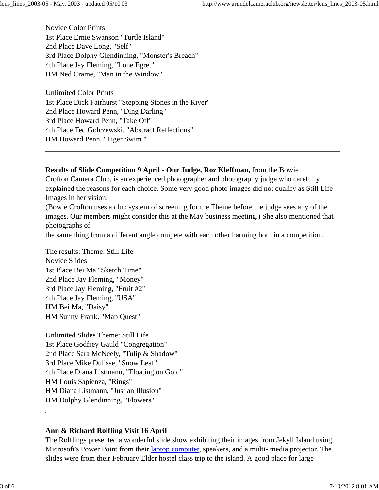Novice Color Prints 1st Place Ernie Swanson "Turtle Island" 2nd Place Dave Long, "Self" 3rd Place Dolphy Glendinning, "Monster's Breach" 4th Place Jay Fleming, "Lone Egret" HM Ned Crame, "Man in the Window"

Unlimited Color Prints 1st Place Dick Fairhurst "Stepping Stones in the River" 2nd Place Howard Penn, "Ding Darling" 3rd Place Howard Penn, "Take Off" 4th Place Ted Golczewski, "Abstract Reflections" HM Howard Penn, "Tiger Swim "

#### **Results of Slide Competition 9 April - Our Judge, Roz Kleffman,** from the Bowie

Crofton Camera Club, is an experienced photographer and photography judge who carefully explained the reasons for each choice. Some very good photo images did not qualify as Still Life Images in her vision.

(Bowie Crofton uses a club system of screening for the Theme before the judge sees any of the images. Our members might consider this at the May business meeting.) She also mentioned that photographs of

the same thing from a different angle compete with each other harming both in a competition.

The results: Theme: Still Life Novice Slides 1st Place Bei Ma "Sketch Time" 2nd Place Jay Fleming, "Money" 3rd Place Jay Fleming, "Fruit #2" 4th Place Jay Fleming, "USA" HM Bei Ma, "Daisy" HM Sunny Frank, "Map Quest"

Unlimited Slides Theme: Still Life 1st Place Godfrey Gauld "Congregation" 2nd Place Sara McNeely, "Tulip & Shadow" 3rd Place Mike Dulisse, "Snow Leaf" 4th Place Diana Listmann, "Floating on Gold" HM Louis Sapienza, "Rings" HM Diana Listmann, "Just an Illusion" HM Dolphy Glendinning, "Flowers"

# **Ann & Richard Rolfling Visit 16 April**

The Rolflings presented a wonderful slide show exhibiting their images from Jekyll Island using Microsoft's Power Point from their laptop computer, speakers, and a multi- media projector. The slides were from their February Elder hostel class trip to the island. A good place for large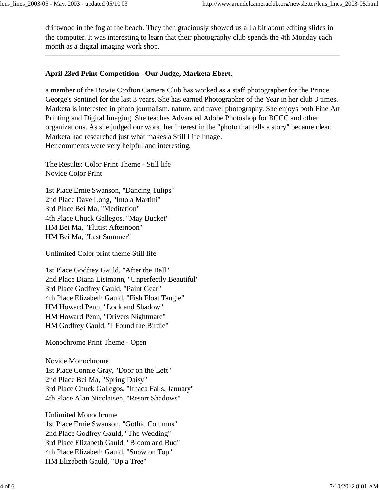driftwood in the fog at the beach. They then graciously showed us all a bit about editing slides in the computer. It was interesting to learn that their photography club spends the 4th Monday each month as a digital imaging work shop.

# **April 23rd Print Competition - Our Judge, Marketa Ebert**,

a member of the Bowie Crofton Camera Club has worked as a staff photographer for the Prince George's Sentinel for the last 3 years. She has earned Photographer of the Year in her club 3 times. Marketa is interested in photo journalism, nature, and travel photography. She enjoys both Fine Art Printing and Digital Imaging. She teaches Advanced Adobe Photoshop for BCCC and other organizations. As she judged our work, her interest in the "photo that tells a story" became clear. Marketa had researched just what makes a Still Life Image. Her comments were very helpful and interesting.

The Results: Color Print Theme - Still life Novice Color Print

1st Place Ernie Swanson, "Dancing Tulips" 2nd Place Dave Long, "Into a Martini" 3rd Place Bei Ma, "Meditation" 4th Place Chuck Gallegos, "May Bucket" HM Bei Ma, "Flutist Afternoon" HM Bei Ma, "Last Summer"

Unlimited Color print theme Still life

1st Place Godfrey Gauld, "After the Ball" 2nd Place Diana Listmann, "Unperfectly Beautiful" 3rd Place Godfrey Gauld, "Paint Gear" 4th Place Elizabeth Gauld, "Fish Float Tangle" HM Howard Penn, "Lock and Shadow" HM Howard Penn, "Drivers Nightmare" HM Godfrey Gauld, "I Found the Birdie"

Monochrome Print Theme - Open

Novice Monochrome 1st Place Connie Gray, "Door on the Left" 2nd Place Bei Ma, "Spring Daisy" 3rd Place Chuck Gallegos, "Ithaca Falls, January" 4th Place Alan Nicolaisen, "Resort Shadows"

Unlimited Monochrome 1st Place Ernie Swanson, "Gothic Columns" 2nd Place Godfrey Gauld, "The Wedding" 3rd Place Elizabeth Gauld, "Bloom and Bud" 4th Place Elizabeth Gauld, "Snow on Top" HM Elizabeth Gauld, "Up a Tree"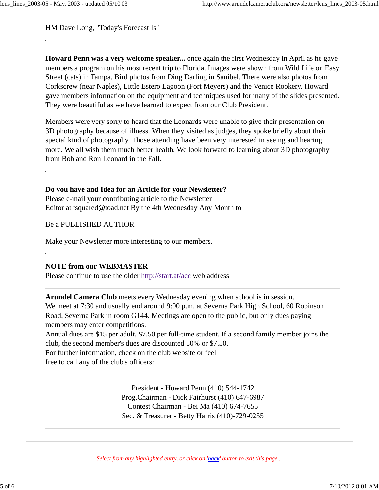HM Dave Long, "Today's Forecast Is"

**Howard Penn was a very welcome speaker...** once again the first Wednesday in April as he gave members a program on his most recent trip to Florida. Images were shown from Wild Life on Easy Street (cats) in Tampa. Bird photos from Ding Darling in Sanibel. There were also photos from Corkscrew (near Naples), Little Estero Lagoon (Fort Meyers) and the Venice Rookery. Howard gave members information on the equipment and techniques used for many of the slides presented. They were beautiful as we have learned to expect from our Club President.

Members were very sorry to heard that the Leonards were unable to give their presentation on 3D photography because of illness. When they visited as judges, they spoke briefly about their special kind of photography. Those attending have been very interested in seeing and hearing more. We all wish them much better health. We look forward to learning about 3D photography from Bob and Ron Leonard in the Fall.

# **Do you have and Idea for an Article for your Newsletter?**

Please e-mail your contributing article to the Newsletter Editor at tsquared@toad.net By the 4th Wednesday Any Month to

Be a PUBLISHED AUTHOR

Make your Newsletter more interesting to our members.

# **NOTE from our WEBMASTER**

Please continue to use the older http://start.at/acc web address

**Arundel Camera Club** meets every Wednesday evening when school is in session. We meet at 7:30 and usually end around 9:00 p.m. at Severna Park High School, 60 Robinson Road, Severna Park in room G144. Meetings are open to the public, but only dues paying members may enter competitions.

Annual dues are \$15 per adult, \$7.50 per full-time student. If a second family member joins the club, the second member's dues are discounted 50% or \$7.50.

For further information, check on the club website or feel

free to call any of the club's officers:

President - Howard Penn (410) 544-1742 Prog.Chairman - Dick Fairhurst (410) 647-6987 Contest Chairman - Bei Ma (410) 674-7655 Sec. & Treasurer - Betty Harris (410)-729-0255